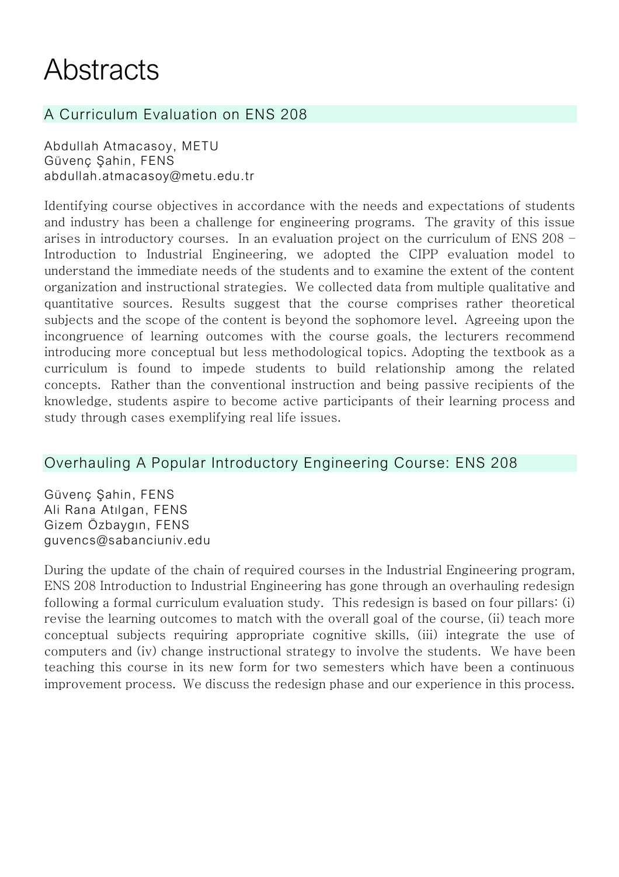## **Abstracts**

## A Curriculum Evaluation on ENS 208

Abdullah Atmacasoy, METU Güvenç Şahin, FENS [abdullah.atmacasoy@metu.edu.tr](mailto:abdullah.atmacasoy@metu.edu.tr)

Identifying course objectives in accordance with the needs and expectations of students and industry has been a challenge for engineering programs. The gravity of this issue arises in introductory courses. In an evaluation project on the curriculum of ENS 208 – Introduction to Industrial Engineering, we adopted the CIPP evaluation model to understand the immediate needs of the students and to examine the extent of the content organization and instructional strategies. We collected data from multiple qualitative and quantitative sources. Results suggest that the course comprises rather theoretical subjects and the scope of the content is beyond the sophomore level. Agreeing upon the incongruence of learning outcomes with the course goals, the lecturers recommend introducing more conceptual but less methodological topics. Adopting the textbook as a curriculum is found to impede students to build relationship among the related concepts. Rather than the conventional instruction and being passive recipients of the knowledge, students aspire to become active participants of their learning process and study through cases exemplifying real life issues.

#### Overhauling A Popular Introductory Engineering Course: ENS 208

Güvenç Şahin, FENS Ali Rana Atılgan, FENS Gizem Özbaygın, FENS guvencs@sabanciuniv.edu

During the update of the chain of required courses in the Industrial Engineering program, ENS 208 Introduction to Industrial Engineering has gone through an overhauling redesign following a formal curriculum evaluation study. This redesign is based on four pillars: (i) revise the learning outcomes to match with the overall goal of the course, (ii) teach more conceptual subjects requiring appropriate cognitive skills, (iii) integrate the use of computers and (iv) change instructional strategy to involve the students. We have been teaching this course in its new form for two semesters which have been a continuous improvement process. We discuss the redesign phase and our experience in this process.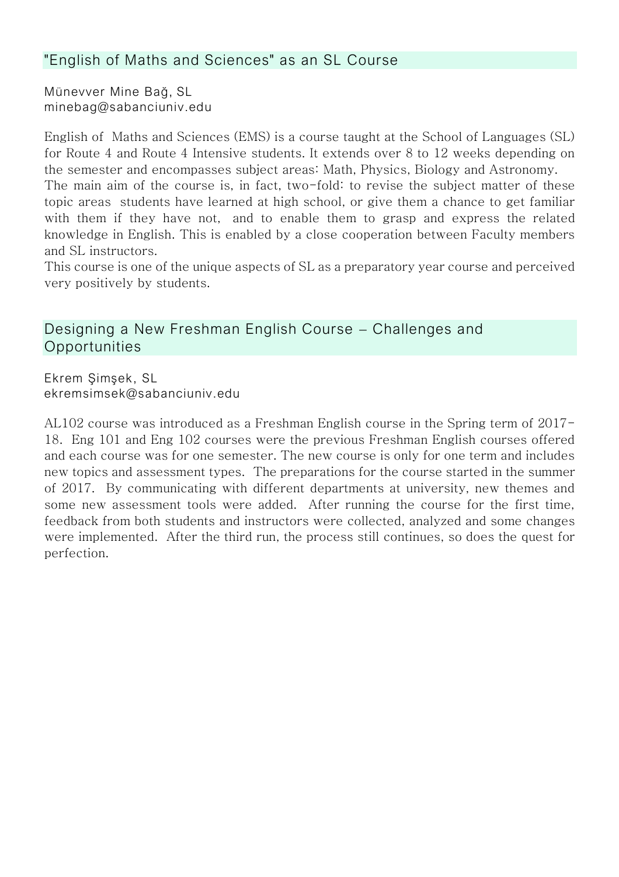#### "English of Maths and Sciences" as an SL Course

Münevver Mine Bağ, SL minebag@sabanciuniv.edu

English of Maths and Sciences (EMS) is a course taught at the School of Languages (SL) for Route 4 and Route 4 Intensive students. It extends over 8 to 12 weeks depending on the semester and encompasses subject areas: Math, Physics, Biology and Astronomy.

The main aim of the course is, in fact, two-fold: to revise the subject matter of these topic areas students have learned at high school, or give them a chance to get familiar with them if they have not, and to enable them to grasp and express the related knowledge in English. This is enabled by a close cooperation between Faculty members and SL instructors.

This course is one of the unique aspects of SL as a preparatory year course and perceived very positively by students.

#### Designing a New Freshman English Course – Challenges and **Opportunities**

Ekrem Şimşek, SL ekremsimsek@sabanciuniv.edu

AL102 course was introduced as a Freshman English course in the Spring term of 2017- 18. Eng 101 and Eng 102 courses were the previous Freshman English courses offered and each course was for one semester. The new course is only for one term and includes new topics and assessment types. The preparations for the course started in the summer of 2017. By communicating with different departments at university, new themes and some new assessment tools were added. After running the course for the first time, feedback from both students and instructors were collected, analyzed and some changes were implemented. After the third run, the process still continues, so does the quest for perfection.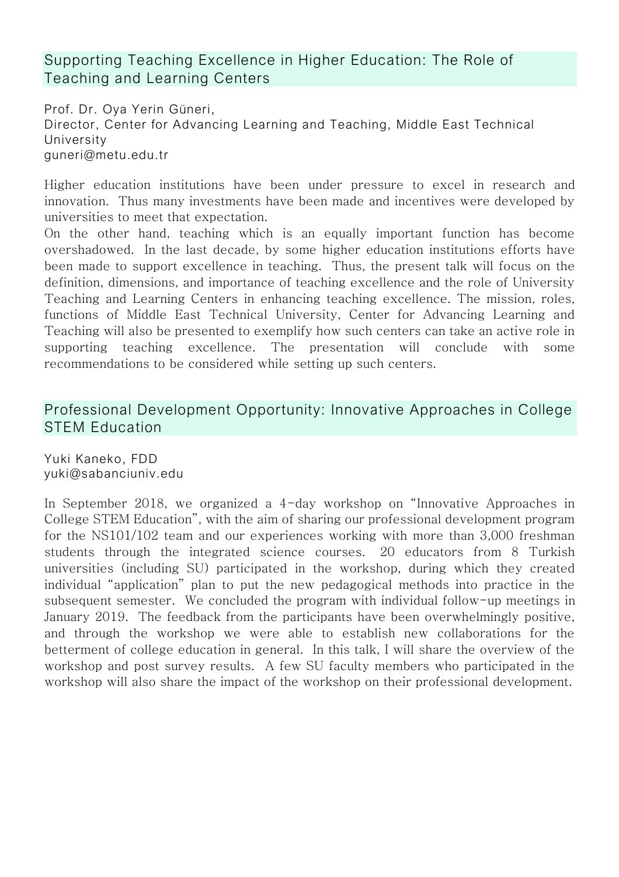Supporting Teaching Excellence in Higher Education: The Role of Teaching and Learning Centers

Prof. Dr. Oya Yerin Güneri, Director, Center for Advancing Learning and Teaching, Middle East Technical University [guneri@metu.edu.tr](mailto:guneri@metu.edu.tr)

Higher education institutions have been under pressure to excel in research and innovation. Thus many investments have been made and incentives were developed by universities to meet that expectation.

On the other hand, teaching which is an equally important function has become overshadowed. In the last decade, by some higher education institutions efforts have been made to support excellence in teaching. Thus, the present talk will focus on the definition, dimensions, and importance of teaching excellence and the role of University Teaching and Learning Centers in enhancing teaching excellence. The mission, roles, functions of Middle East Technical University, Center for Advancing Learning and Teaching will also be presented to exemplify how such centers can take an active role in supporting teaching excellence. The presentation will conclude with some recommendations to be considered while setting up such centers.

#### Professional Development Opportunity: Innovative Approaches in College STEM Education

Yuki Kaneko, FDD yuki@sabanciuniv.edu

In September 2018, we organized a 4-day workshop on "Innovative Approaches in College STEM Education", with the aim of sharing our professional development program for the NS101/102 team and our experiences working with more than 3,000 freshman students through the integrated science courses. 20 educators from 8 Turkish universities (including SU) participated in the workshop, during which they created individual "application" plan to put the new pedagogical methods into practice in the subsequent semester. We concluded the program with individual follow-up meetings in January 2019. The feedback from the participants have been overwhelmingly positive, and through the workshop we were able to establish new collaborations for the betterment of college education in general. In this talk, I will share the overview of the workshop and post survey results. A few SU faculty members who participated in the workshop will also share the impact of the workshop on their professional development.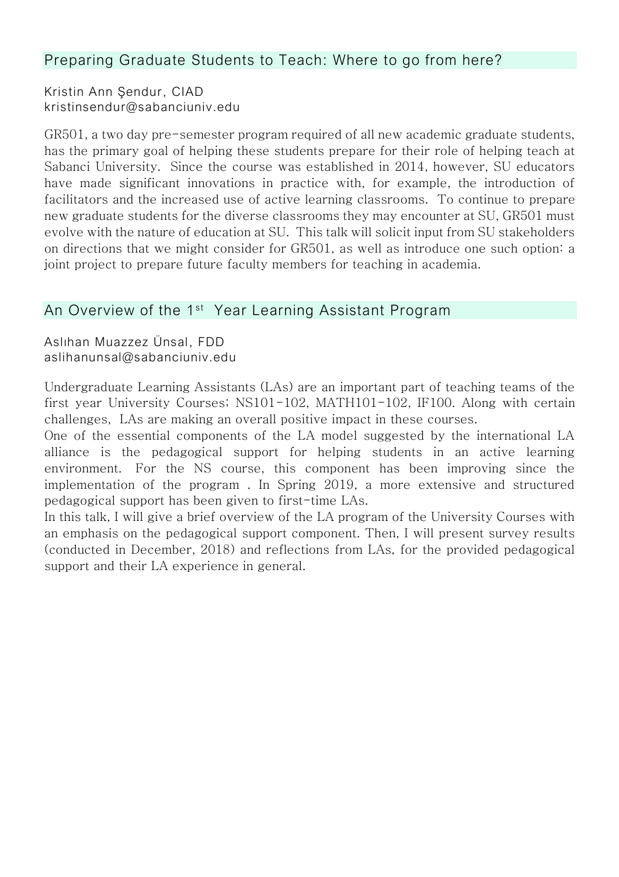#### Preparing Graduate Students to Teach: Where to go from here?

Kristin Ann Şendur, CIAD kristinsendur@sabanciuniv.edu

GR501, a two day pre-semester program required of all new academic graduate students, has the primary goal of helping these students prepare for their role of helping teach at Sabanci University. Since the course was established in 2014, however, SU educators have made significant innovations in practice with, for example, the introduction of facilitators and the increased use of active learning classrooms. To continue to prepare new graduate students for the diverse classrooms they may encounter at SU, GR501 must evolve with the nature of education at SU. This talk will solicit input from SU stakeholders on directions that we might consider for GR501, as well as introduce one such option: a joint project to prepare future faculty members for teaching in academia.

#### An Overview of the 1<sup>st</sup> Year Learning Assistant Program

Aslıhan Muazzez Ünsal, FDD aslihanunsal@sabanciuniv.edu

Undergraduate Learning Assistants (LAs) are an important part of teaching teams of the first year University Courses; NS101-102, MATH101-102, IF100. Along with certain challenges, LAs are making an overall positive impact in these courses.

One of the essential components of the LA model suggested by the international LA alliance is the pedagogical support for helping students in an active learning environment. For the NS course, this component has been improving since the implementation of the program . In Spring 2019, a more extensive and structured pedagogical support has been given to first-time LAs.

In this talk, I will give a brief overview of the LA program of the University Courses with an emphasis on the pedagogical support component. Then, I will present survey results (conducted in December, 2018) and reflections from LAs, for the provided pedagogical support and their LA experience in general.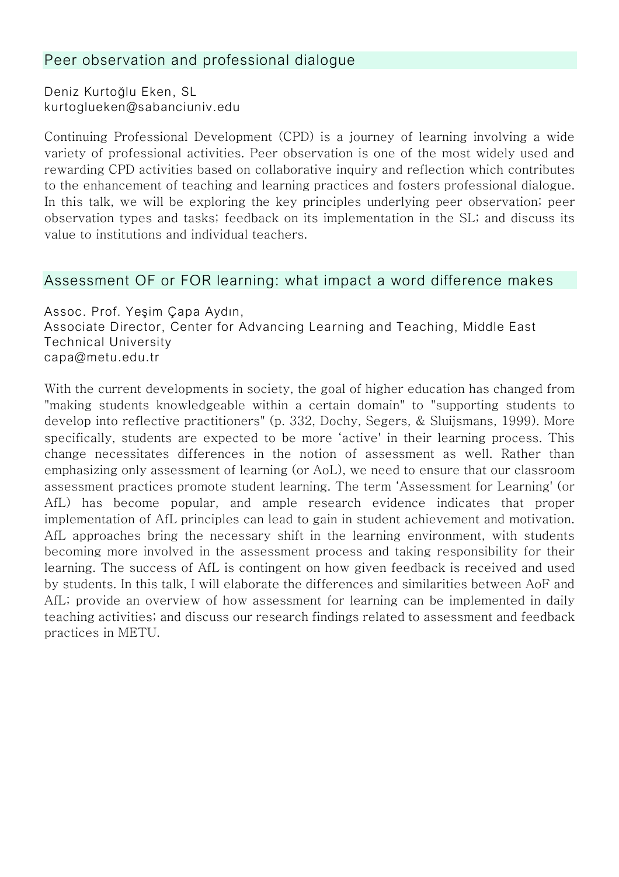#### Peer observation and professional dialogue

Deniz Kurtoğlu Eken, SL kurtoglueken@sabanciuniv.edu

Continuing Professional Development (CPD) is a journey of learning involving a wide variety of professional activities. Peer observation is one of the most widely used and rewarding CPD activities based on collaborative inquiry and reflection which contributes to the enhancement of teaching and learning practices and fosters professional dialogue. In this talk, we will be exploring the key principles underlying peer observation; peer observation types and tasks; feedback on its implementation in the SL; and discuss its value to institutions and individual teachers.

#### Assessment OF or FOR learning: what impact a word difference makes

Assoc. Prof. Yeşim Çapa Aydın, Associate Director, Center for Advancing Learning and Teaching, Middle East Technical University capa@metu.edu.tr

With the current developments in society, the goal of higher education has changed from "making students knowledgeable within a certain domain" to "supporting students to develop into reflective practitioners" (p. 332, Dochy, Segers, & Sluijsmans, 1999). More specifically, students are expected to be more 'active' in their learning process. This change necessitates differences in the notion of assessment as well. Rather than emphasizing only assessment of learning (or AoL), we need to ensure that our classroom assessment practices promote student learning. The term 'Assessment for Learning' (or AfL) has become popular, and ample research evidence indicates that proper implementation of AfL principles can lead to gain in student achievement and motivation. AfL approaches bring the necessary shift in the learning environment, with students becoming more involved in the assessment process and taking responsibility for their learning. The success of AfL is contingent on how given feedback is received and used by students. In this talk, I will elaborate the differences and similarities between AoF and AfL; provide an overview of how assessment for learning can be implemented in daily teaching activities; and discuss our research findings related to assessment and feedback practices in METU.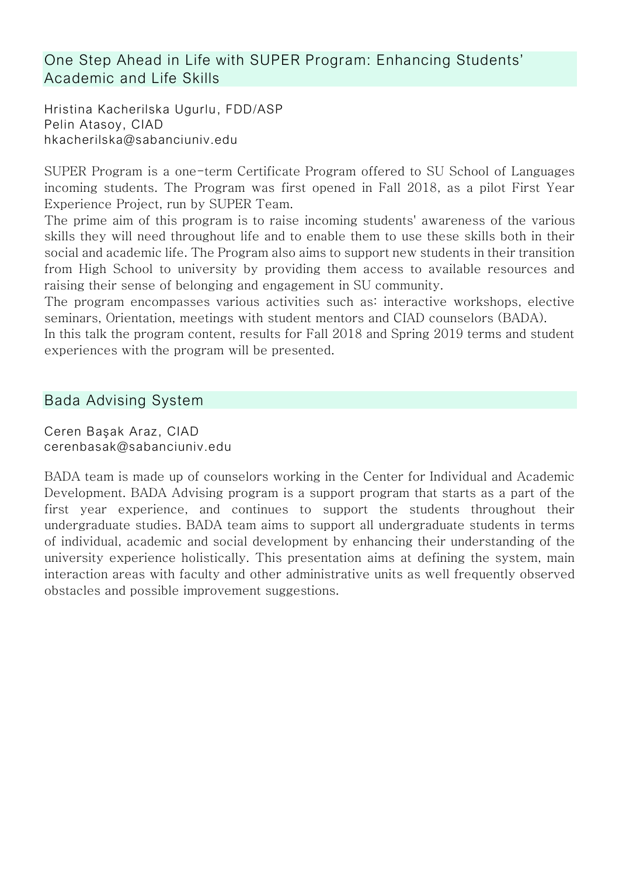#### One Step Ahead in Life with SUPER Program: Enhancing Students' Academic and Life Skills

Hristina Kacherilska Ugurlu, FDD/ASP Pelin Atasoy, CIAD hkacherilska@sabanciuniv.edu

SUPER Program is a one-term Certificate Program offered to SU School of Languages incoming students. The Program was first opened in Fall 2018, as a pilot First Year Experience Project, run by SUPER Team.

The prime aim of this program is to raise incoming students' awareness of the various skills they will need throughout life and to enable them to use these skills both in their social and academic life. The Program also aims to support new students in their transition from High School to university by providing them access to available resources and raising their sense of belonging and engagement in SU community.

The program encompasses various activities such as: interactive workshops, elective seminars, Orientation, meetings with student mentors and CIAD counselors (BADA).

In this talk the program content, results for Fall 2018 and Spring 2019 terms and student experiences with the program will be presented.

#### Bada Advising System

Ceren Başak Araz, CIAD cerenbasak@sabanciuniv.edu

BADA team is made up of counselors working in the Center for Individual and Academic Development. BADA Advising program is a support program that starts as a part of the first year experience, and continues to support the students throughout their undergraduate studies. BADA team aims to support all undergraduate students in terms of individual, academic and social development by enhancing their understanding of the university experience holistically. This presentation aims at defining the system, main interaction areas with faculty and other administrative units as well frequently observed obstacles and possible improvement suggestions.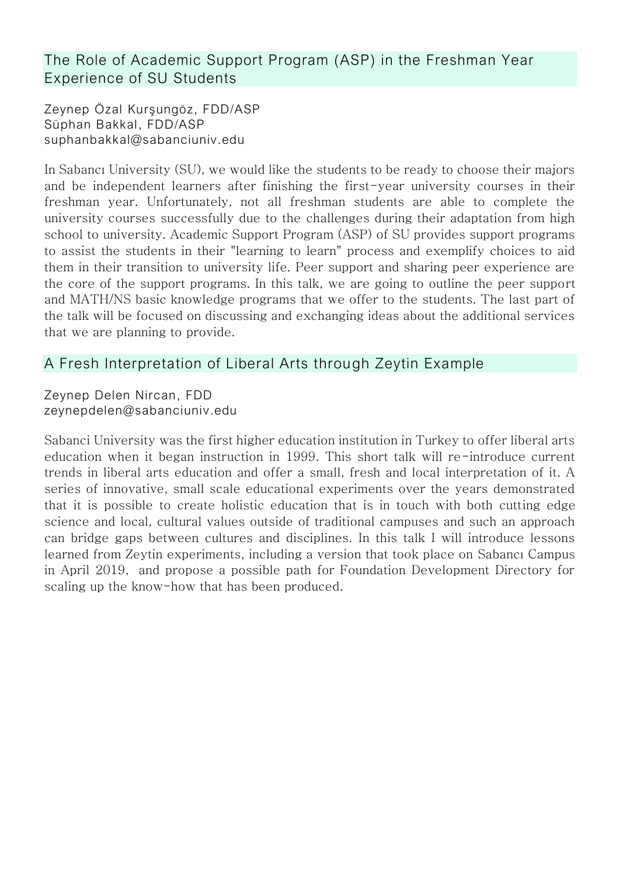The Role of Academic Support Program (ASP) in the Freshman Year Experience of SU Students

Zeynep Özal Kurşungöz, FDD/ASP Süphan Bakkal, FDD/ASP suphanbakkal@sabanciuniv.edu

In Sabancı University (SU), we would like the students to be ready to choose their majors and be independent learners after finishing the first-year university courses in their freshman year. Unfortunately, not all freshman students are able to complete the university courses successfully due to the challenges during their adaptation from high school to university. Academic Support Program (ASP) of SU provides support programs to assist the students in their "learning to learn" process and exemplify choices to aid them in their transition to university life. Peer support and sharing peer experience are the core of the support programs. In this talk, we are going to outline the peer support and MATH/NS basic knowledge programs that we offer to the students. The last part of the talk will be focused on discussing and exchanging ideas about the additional services that we are planning to provide.

#### A Fresh Interpretation of Liberal Arts through Zeytin Example

Zeynep Delen Nircan, FDD zeynepdelen@sabanciuniv.edu

Sabanci University was the first higher education institution in Turkey to offer liberal arts education when it began instruction in 1999. This short talk will re-introduce current trends in liberal arts education and offer a small, fresh and local interpretation of it. A series of innovative, small scale educational experiments over the years demonstrated that it is possible to create holistic education that is in touch with both cutting edge science and local, cultural values outside of traditional campuses and such an approach can bridge gaps between cultures and disciplines. In this talk I will introduce lessons learned from Zeytin experiments, including a version that took place on Sabancı Campus in April 2019, and propose a possible path for Foundation Development Directory for scaling up the know-how that has been produced.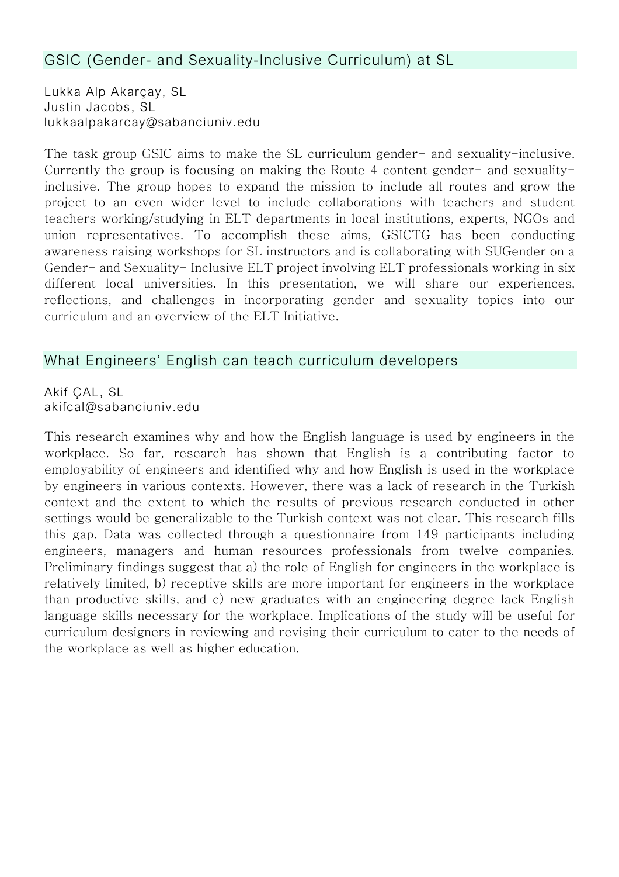#### GSIC (Gender- and Sexuality-Inclusive Curriculum) at SL

Lukka Alp Akarçay, SL Justin Jacobs, SL lukkaalpakarcay@sabanciuniv.edu

The task group GSIC aims to make the SL curriculum gender- and sexuality-inclusive. Currently the group is focusing on making the Route 4 content gender- and sexualityinclusive. The group hopes to expand the mission to include all routes and grow the project to an even wider level to include collaborations with teachers and student teachers working/studying in ELT departments in local institutions, experts, NGOs and union representatives. To accomplish these aims, GSICTG has been conducting awareness raising workshops for SL instructors and is collaborating with SUGender on a Gender- and Sexuality- Inclusive ELT project involving ELT professionals working in six different local universities. In this presentation, we will share our experiences, reflections, and challenges in incorporating gender and sexuality topics into our curriculum and an overview of the ELT Initiative.

#### What Engineers' English can teach curriculum developers

Akif ÇAL, SL akifcal@sabanciuniv.edu

This research examines why and how the English language is used by engineers in the workplace. So far, research has shown that English is a contributing factor to employability of engineers and identified why and how English is used in the workplace by engineers in various contexts. However, there was a lack of research in the Turkish context and the extent to which the results of previous research conducted in other settings would be generalizable to the Turkish context was not clear. This research fills this gap. Data was collected through a questionnaire from 149 participants including engineers, managers and human resources professionals from twelve companies. Preliminary findings suggest that a) the role of English for engineers in the workplace is relatively limited, b) receptive skills are more important for engineers in the workplace than productive skills, and c) new graduates with an engineering degree lack English language skills necessary for the workplace. Implications of the study will be useful for curriculum designers in reviewing and revising their curriculum to cater to the needs of the workplace as well as higher education.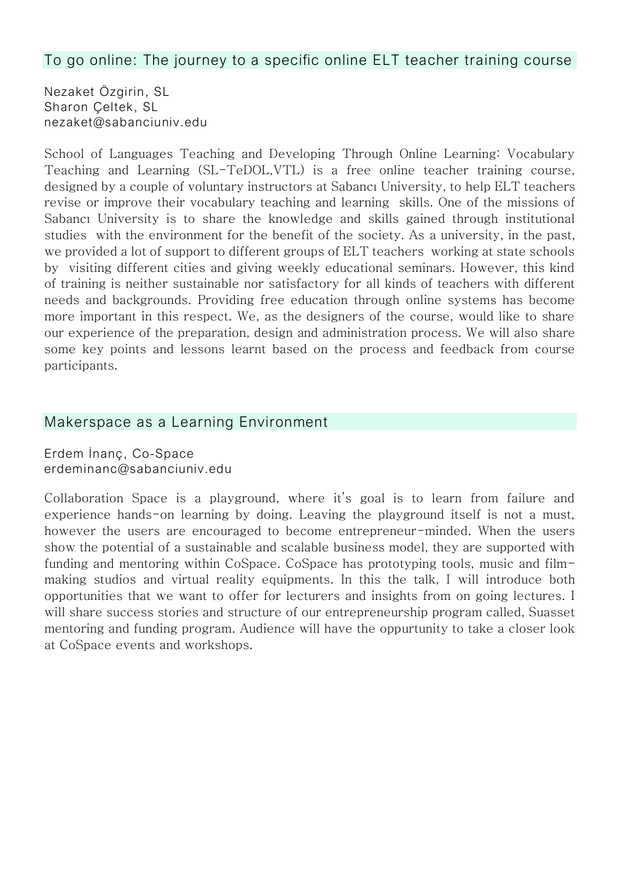#### To go online: The journey to a specific online ELT teacher training course

Nezaket Özgirin, SL Sharon Çeltek, SL nezaket@sabanciuniv.edu

School of Languages Teaching and Developing Through Online Learning: Vocabulary Teaching and Learning (SL-TeDOL,VTL) is a free online teacher training course, designed by a couple of voluntary instructors at Sabancı University, to help ELT teachers revise or improve their vocabulary teaching and learning skills. One of the missions of Sabancı University is to share the knowledge and skills gained through institutional studies with the environment for the benefit of the society. As a university, in the past, we provided a lot of support to different groups of ELT teachers working at state schools by visiting different cities and giving weekly educational seminars. However, this kind of training is neither sustainable nor satisfactory for all kinds of teachers with different needs and backgrounds. Providing free education through online systems has become more important in this respect. We, as the designers of the course, would like to share our experience of the preparation, design and administration process. We will also share some key points and lessons learnt based on the process and feedback from course participants.

#### Makerspace as a Learning Environment

Erdem İnanç, Co-Space erdeminanc@sabanciuniv.edu

Collaboration Space is a playground, where it's goal is to learn from failure and experience hands-on learning by doing. Leaving the playground itself is not a must, however the users are encouraged to become entrepreneur-minded. When the users show the potential of a sustainable and scalable business model, they are supported with funding and mentoring within CoSpace. CoSpace has prototyping tools, music and filmmaking studios and virtual reality equipments. In this the talk, I will introduce both opportunities that we want to offer for lecturers and insights from on going lectures. I will share success stories and structure of our entrepreneurship program called, Suasset mentoring and funding program. Audience will have the oppurtunity to take a closer look at CoSpace events and workshops.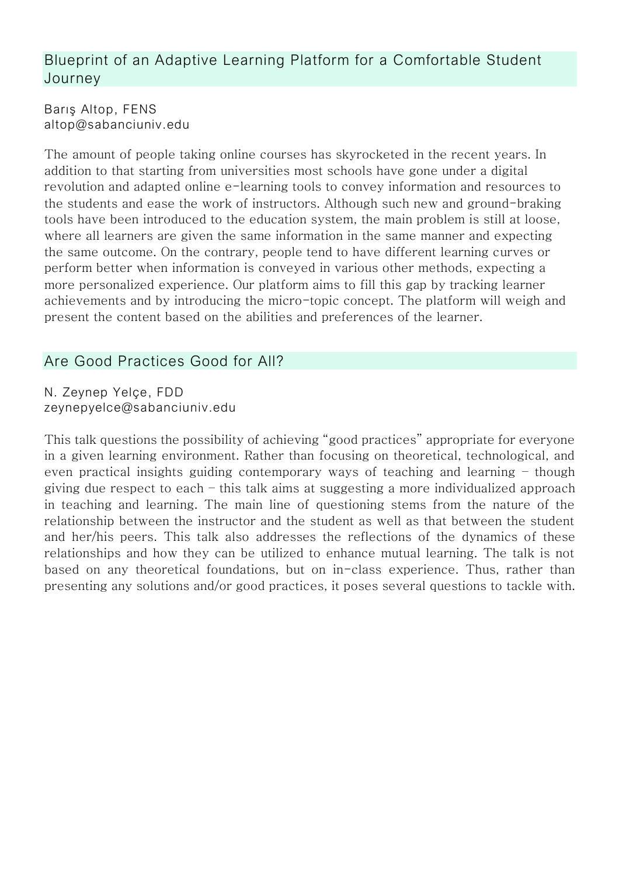#### Blueprint of an Adaptive Learning Platform for a Comfortable Student Journey

Barış Altop, FENS altop@sabanciuniv.edu

The amount of people taking online courses has skyrocketed in the recent years. In addition to that starting from universities most schools have gone under a digital revolution and adapted online e-learning tools to convey information and resources to the students and ease the work of instructors. Although such new and ground-braking tools have been introduced to the education system, the main problem is still at loose, where all learners are given the same information in the same manner and expecting the same outcome. On the contrary, people tend to have different learning curves or perform better when information is conveyed in various other methods, expecting a more personalized experience. Our platform aims to fill this gap by tracking learner achievements and by introducing the micro-topic concept. The platform will weigh and present the content based on the abilities and preferences of the learner.

### Are Good Practices Good for All?

N. Zeynep Yelçe, FDD zeynepyelce@sabanciuniv.edu

This talk questions the possibility of achieving "good practices" appropriate for everyone in a given learning environment. Rather than focusing on theoretical, technological, and even practical insights guiding contemporary ways of teaching and learning – though giving due respect to each – this talk aims at suggesting a more individualized approach in teaching and learning. The main line of questioning stems from the nature of the relationship between the instructor and the student as well as that between the student and her/his peers. This talk also addresses the reflections of the dynamics of these relationships and how they can be utilized to enhance mutual learning. The talk is not based on any theoretical foundations, but on in-class experience. Thus, rather than presenting any solutions and/or good practices, it poses several questions to tackle with.